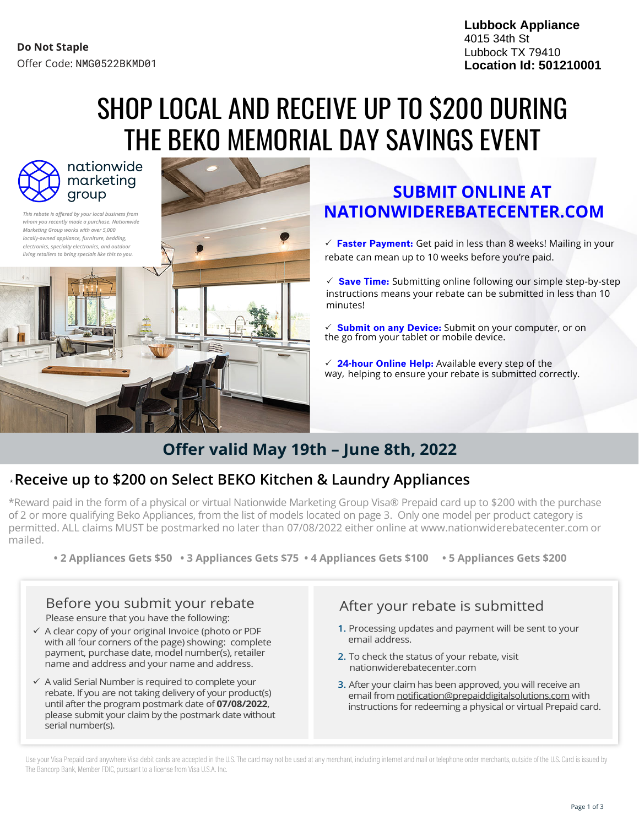**Lubbock Appliance** 4015 34th St Lubbock TX 79410 **Location Id: 501210001**

# SHOP LOCAL AND RECEIVE UP TO \$200 DURING THE BEKO MEMORIAL DAY SAVINGS EVENT



nationwide marketing group

*This rebate is offered by your local business from whom you recently made a purchase. Nationwide Marketing Group works with over 5,000 locally-owned appliance, furniture, bedding, electronics, specialty electronics, and outdoor living retailers to bring specials like this to you.*



### **SUBMIT ONLINE AT NATIONWIDEREBATECENTER.COM**

 **Faster Payment:** Get paid in less than 8 weeks! Mailing in your rebate can mean up to 10 weeks before you're paid.

 **Save Time:** Submitting online following our simple step-by-step instructions means your rebate can be submitted in less than 10 minutes!

 **Submit on any Device:** Submit on your computer, or on the go from your tablet or mobile device.

 **24-hour Online Help:** Available every step of the way, helping to ensure your rebate is submitted correctly.

## **Offer valid May 19th – June 8th, 2022**

### \***Receive up to \$200 on Select BEKO Kitchen & Laundry Appliances**

\*Reward paid in the form of a physical or virtual Nationwide Marketing Group Visa® Prepaid card up to \$200 with the purchase of 2 or more qualifying Beko Appliances, from the list of models located on page 3. Only one model per product category is permitted. ALL claims MUST be postmarked no later than 07/08/2022 either online at www.nationwiderebatecenter.com or mailed.

**• 2 Appliances Gets \$50 • 3 Appliances Gets \$75 • 4 Appliances Gets \$100 • 5 Appliances Gets \$200**

# Before you submit your rebate After your rebate Please ensure that you have the following:

- $\checkmark$  A clear copy of your original Invoice (photo or PDF with all four corners ofthe page) showing: complete payment, purchase date, model number(s), retailer name and address and your name and address.
- $\checkmark$  A valid Serial Number is required to complete your rebate. If you are not taking delivery of your product(s) until after the program postmark date of **07/08/2022**, please submit your claim by the postmark date without serial number(s).

- **1.** Processing updates and payment will be sent to your email address.
- **2.** To check the status of your rebate, visit nationwiderebatecenter.com
- **3.** After your claim has been approved, you will receive an email from notification@prepaiddigitalsolutions.com with instructions for redeeming a physical or virtual Prepaid card.

Use your Visa Prepaid card anywhere Visa debit cards are accepted in the U.S. The card may not be used at any merchant, including internet and mail or telephone order merchants, outside of the U.S. Card is issued by The Bancorp Bank, Member FDIC, pursuant to a license from Visa U.S.A. Inc.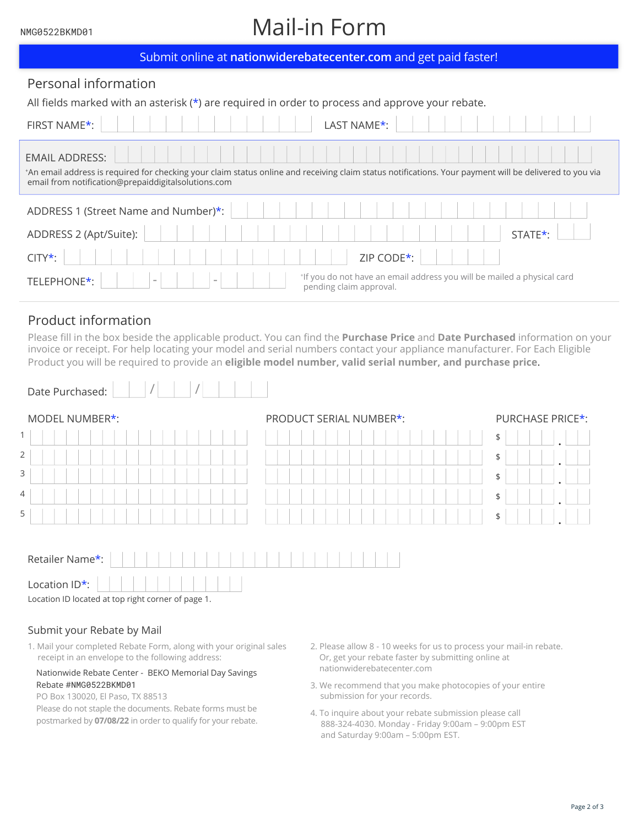#### NMG0522BKMD01

# Mail-in Form

| Submit online at nationwiderebatecenter.com and get paid faster!                                                                                                                                                                        |  |  |  |
|-----------------------------------------------------------------------------------------------------------------------------------------------------------------------------------------------------------------------------------------|--|--|--|
| Personal information                                                                                                                                                                                                                    |  |  |  |
| All fields marked with an asterisk $(*)$ are required in order to process and approve your rebate.                                                                                                                                      |  |  |  |
| FIRST NAME*:<br>LAST NAME <sup>*</sup> :                                                                                                                                                                                                |  |  |  |
| <b>EMAIL ADDRESS:</b><br>*An email address is required for checking your claim status online and receiving claim status notifications. Your payment will be delivered to you via<br>email from notification@prepaiddigitalsolutions.com |  |  |  |
| ADDRESS 1 (Street Name and Number)*:                                                                                                                                                                                                    |  |  |  |
| ADDRESS 2 (Apt/Suite):<br>STATE <sup>*</sup> :                                                                                                                                                                                          |  |  |  |
| ZIP CODE*:<br>$CITY^*$ :                                                                                                                                                                                                                |  |  |  |
| *If you do not have an email address you will be mailed a physical card<br>TELEPHONE*:<br>pending claim approval.                                                                                                                       |  |  |  |

### Product information

Please fill in the box beside the applicable product. You can find the **Purchase Price** and **Date Purchased** information on your invoice or receipt. For help locating your model and serial numbers contact your appliance manufacturer. For Each Eligible Product you will be required to provide an **eligible model number, valid serial number, and purchase price**.

| Date Purchased:                                    |                         |                  |  |
|----------------------------------------------------|-------------------------|------------------|--|
| MODEL NUMBER*:                                     | PRODUCT SERIAL NUMBER*: | PURCHASE PRICE*: |  |
| $\mathbf{1}$                                       |                         | \$               |  |
| $\overline{2}$                                     |                         | \$               |  |
| 3                                                  |                         | \$               |  |
| 4                                                  |                         | \$               |  |
| 5                                                  |                         | \$               |  |
|                                                    |                         |                  |  |
| Retailer Name*:                                    |                         |                  |  |
| Location ID*:                                      |                         |                  |  |
| Location ID located at top right corner of page 1. |                         |                  |  |

#### Submit your Rebate by Mail

1. Mail your completed Rebate Form, along with your original sales 2. Please allow 8 - 10 weeks for us to process your mail-in rebate. receipt in an envelope to the following address:

#### Nationwide Rebate Center - BEKO Memorial Day Savings Rebate #NMG0522BKMD01

PO Box 130020, El Paso, TX 88513

Please do not staple the documents. Rebate forms must be postmarked by **07/08/22** in order to qualify for your rebate.

- Or, get your rebate faster by submitting online at nationwiderebatecenter.com
- 3. We recommend that you make photocopies of your entire submission for your records.
- 4. To inquire about your rebate submission please call 888-324-4030. Monday - Friday 9:00am – 9:00pm EST and Saturday 9:00am – 5:00pm EST.